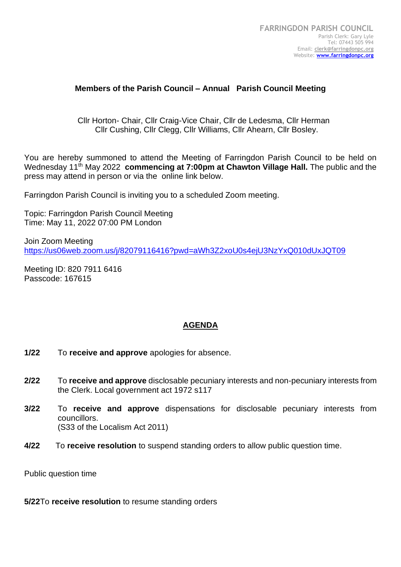## **Members of the Parish Council – Annual Parish Council Meeting**

 Cllr Horton- Chair, Cllr Craig-Vice Chair, Cllr de Ledesma, Cllr Herman Cllr Cushing, Cllr Clegg, Cllr Williams, Cllr Ahearn, Cllr Bosley.

You are hereby summoned to attend the Meeting of Farringdon Parish Council to be held on Wednesday 11<sup>th</sup> May 2022 **commencing at 7:00pm at Chawton Village Hall.** The public and the press may attend in person or via the online link below.

Farringdon Parish Council is inviting you to a scheduled Zoom meeting.

Topic: Farringdon Parish Council Meeting Time: May 11, 2022 07:00 PM London

Join Zoom Meeting <https://us06web.zoom.us/j/82079116416?pwd=aWh3Z2xoU0s4ejU3NzYxQ010dUxJQT09>

Meeting ID: 820 7911 6416 Passcode: 167615

## **AGENDA**

- **1/22** To **receive and approve** apologies for absence.
- **2/22** To **receive and approve** disclosable pecuniary interests and non-pecuniary interests from the Clerk. Local government act 1972 s117
- **3/22** To **receive and approve** dispensations for disclosable pecuniary interests from councillors. (S33 of the Localism Act 2011)
- **4/22** To **receive resolution** to suspend standing orders to allow public question time.

Public question time

**5/22**To **receive resolution** to resume standing orders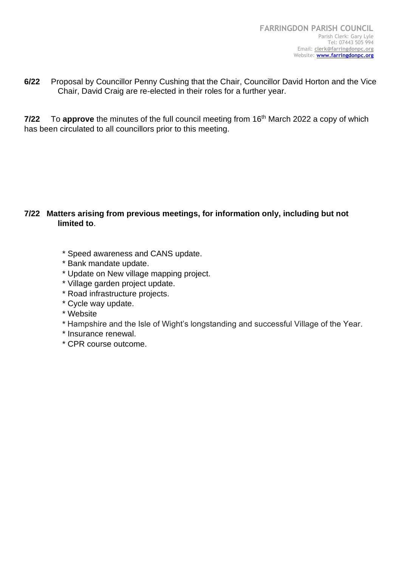**6/22** Proposal by Councillor Penny Cushing that the Chair, Councillor David Horton and the Vice Chair, David Craig are re-elected in their roles for a further year.

**7/22** To **approve** the minutes of the full council meeting from 16<sup>th</sup> March 2022 a copy of which has been circulated to all councillors prior to this meeting.

# **7/22 Matters arising from previous meetings, for information only, including but not limited to**.

- \* Speed awareness and CANS update.
- \* Bank mandate update.
- \* Update on New village mapping project.
- \* Village garden project update.
- \* Road infrastructure projects.
- \* Cycle way update.
- \* Website
- \* Hampshire and the Isle of Wight's longstanding and successful Village of the Year.
- \* Insurance renewal.
- \* CPR course outcome.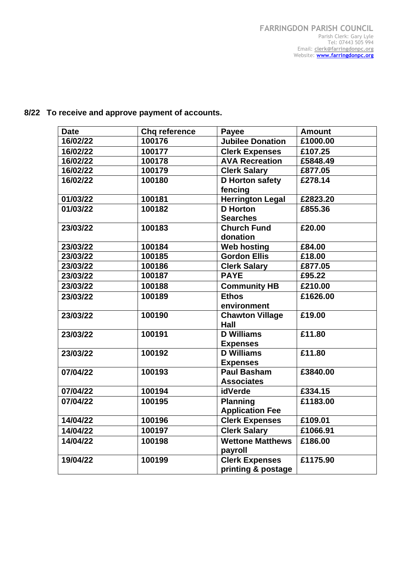# **8/22 To receive and approve payment of accounts.**

| <b>Date</b> | <b>Chq reference</b> | Payee                   | <b>Amount</b> |
|-------------|----------------------|-------------------------|---------------|
| 16/02/22    | 100176               | <b>Jubilee Donation</b> | £1000.00      |
| 16/02/22    | 100177               | <b>Clerk Expenses</b>   | £107.25       |
| 16/02/22    | 100178               | <b>AVA Recreation</b>   | £5848.49      |
| 16/02/22    | 100179               | <b>Clerk Salary</b>     | £877.05       |
| 16/02/22    | 100180               | <b>D</b> Horton safety  | £278.14       |
|             |                      | fencing                 |               |
| 01/03/22    | 100181               | <b>Herrington Legal</b> | £2823.20      |
| 01/03/22    | 100182               | <b>D</b> Horton         | £855.36       |
|             |                      | <b>Searches</b>         |               |
| 23/03/22    | 100183               | <b>Church Fund</b>      | £20.00        |
|             |                      | donation                |               |
| 23/03/22    | 100184               | <b>Web hosting</b>      | £84.00        |
| 23/03/22    | 100185               | <b>Gordon Ellis</b>     | £18.00        |
| 23/03/22    | 100186               | <b>Clerk Salary</b>     | £877.05       |
| 23/03/22    | 100187               | <b>PAYE</b>             | £95.22        |
| 23/03/22    | 100188               | <b>Community HB</b>     | £210.00       |
| 23/03/22    | 100189               | <b>Ethos</b>            | £1626.00      |
|             |                      | environment             |               |
| 23/03/22    | 100190               | <b>Chawton Village</b>  | £19.00        |
|             |                      | Hall                    |               |
| 23/03/22    | 100191               | <b>D</b> Williams       | £11.80        |
|             |                      | <b>Expenses</b>         |               |
| 23/03/22    | 100192               | <b>D</b> Williams       | £11.80        |
|             |                      | <b>Expenses</b>         |               |
| 07/04/22    | 100193               | <b>Paul Basham</b>      | £3840.00      |
|             |                      | <b>Associates</b>       |               |
| 07/04/22    | 100194               | idVerde                 | £334.15       |
| 07/04/22    | 100195               | <b>Planning</b>         | £1183.00      |
|             |                      | <b>Application Fee</b>  |               |
| 14/04/22    | 100196               | <b>Clerk Expenses</b>   | £109.01       |
| 14/04/22    | 100197               | <b>Clerk Salary</b>     | £1066.91      |
| 14/04/22    | 100198               | <b>Wettone Matthews</b> | £186.00       |
|             |                      | payroll                 |               |
| 19/04/22    | 100199               | <b>Clerk Expenses</b>   | £1175.90      |
|             |                      | printing & postage      |               |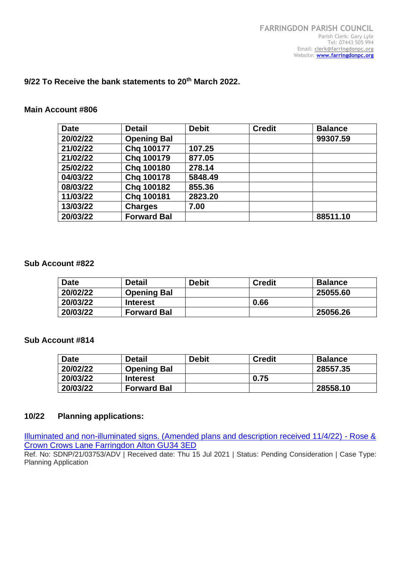## **9/22 To Receive the bank statements to 20th March 2022.**

#### **Main Account #806**

| <b>Date</b> | <b>Detail</b>      | <b>Debit</b> | <b>Credit</b> | <b>Balance</b> |
|-------------|--------------------|--------------|---------------|----------------|
| 20/02/22    | <b>Opening Bal</b> |              |               | 99307.59       |
| 21/02/22    | Chq 100177         | 107.25       |               |                |
| 21/02/22    | Chq 100179         | 877.05       |               |                |
| 25/02/22    | Chq 100180         | 278.14       |               |                |
| 04/03/22    | Chg 100178         | 5848.49      |               |                |
| 08/03/22    | Chq 100182         | 855.36       |               |                |
| 11/03/22    | Chg 100181         | 2823.20      |               |                |
| 13/03/22    | <b>Charges</b>     | 7.00         |               |                |
| 20/03/22    | <b>Forward Bal</b> |              |               | 88511.10       |

#### **Sub Account #822**

| <b>Date</b> | <b>Detail</b>      | <b>Debit</b> | <b>Credit</b> | <b>Balance</b> |
|-------------|--------------------|--------------|---------------|----------------|
| 20/02/22    | <b>Opening Bal</b> |              |               | 25055.60       |
| 20/03/22    | <b>Interest</b>    |              | 0.66          |                |
| 20/03/22    | <b>Forward Bal</b> |              |               | 25056.26       |

### **Sub Account #814**

| <b>Date</b> | <b>Detail</b>      | Debit | <b>Credit</b> | <b>Balance</b> |
|-------------|--------------------|-------|---------------|----------------|
| 20/02/22    | <b>Opening Bal</b> |       |               | 28557.35       |
| 20/03/22    | <b>Interest</b>    |       | 0.75          |                |
| 20/03/22    | <b>Forward Bal</b> |       |               | 28558.10       |

### **10/22 Planning applications:**

[Illuminated and non-illuminated signs. \(Amended plans and description received 11/4/22\) -](https://planningpublicaccess.southdowns.gov.uk/online-applications/centralDistribution.do?caseType=Application&keyVal=QW8RO3TUJYM00) Rose & [Crown Crows Lane Farringdon Alton GU34 3ED](https://planningpublicaccess.southdowns.gov.uk/online-applications/centralDistribution.do?caseType=Application&keyVal=QW8RO3TUJYM00)

Ref. No: SDNP/21/03753/ADV | Received date: Thu 15 Jul 2021 | Status: Pending Consideration | Case Type: Planning Application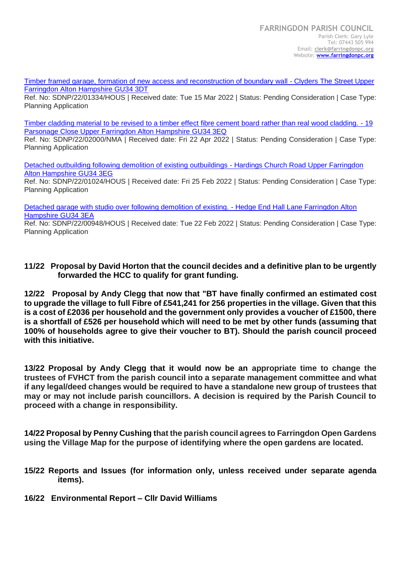[Timber framed garage, formation of new access and reconstruction of boundary wall -](https://planningpublicaccess.southdowns.gov.uk/online-applications/centralDistribution.do?caseType=Application&keyVal=R8QNIRTUJ8V00) Clyders The Street Upper [Farringdon Alton Hampshire GU34 3DT](https://planningpublicaccess.southdowns.gov.uk/online-applications/centralDistribution.do?caseType=Application&keyVal=R8QNIRTUJ8V00)

Ref. No: SDNP/22/01334/HOUS | Received date: Tue 15 Mar 2022 | Status: Pending Consideration | Case Type: Planning Application

[Timber cladding material to be revised to a timber effect fibre cement board rather than real wood cladding. -](https://planningpublicaccess.southdowns.gov.uk/online-applications/centralDistribution.do?caseType=Application&keyVal=RAOPP3TUK9C00) 19 [Parsonage Close Upper Farringdon Alton Hampshire GU34 3EQ](https://planningpublicaccess.southdowns.gov.uk/online-applications/centralDistribution.do?caseType=Application&keyVal=RAOPP3TUK9C00)

Ref. No: SDNP/22/02000/NMA | Received date: Fri 22 Apr 2022 | Status: Pending Consideration | Case Type: Planning Application

[Detached outbuilding following demolition of existing outbuildings -](https://planningpublicaccess.southdowns.gov.uk/online-applications/centralDistribution.do?caseType=Application&keyVal=R7TECETUIQ200) Hardings Church Road Upper Farringdon [Alton Hampshire GU34 3EG](https://planningpublicaccess.southdowns.gov.uk/online-applications/centralDistribution.do?caseType=Application&keyVal=R7TECETUIQ200)

Ref. No: SDNP/22/01024/HOUS | Received date: Fri 25 Feb 2022 | Status: Pending Consideration | Case Type: Planning Application

[Detached garage with studio over following demolition of existing. -](https://planningpublicaccess.southdowns.gov.uk/online-applications/centralDistribution.do?caseType=Application&keyVal=R7NUGMTUIKQ00) Hedge End Hall Lane Farringdon Alton [Hampshire GU34 3EA](https://planningpublicaccess.southdowns.gov.uk/online-applications/centralDistribution.do?caseType=Application&keyVal=R7NUGMTUIKQ00)

Ref. No: SDNP/22/00948/HOUS | Received date: Tue 22 Feb 2022 | Status: Pending Consideration | Case Type: Planning Application

## **11/22 Proposal by David Horton that the council decides and a definitive plan to be urgently forwarded the HCC to qualify for grant funding.**

**12/22 Proposal by Andy Clegg that now that "BT have finally confirmed an estimated cost to upgrade the village to full Fibre of £541,241 for 256 properties in the village. Given that this is a cost of £2036 per household and the government only provides a voucher of £1500, there is a shortfall of £526 per household which will need to be met by other funds (assuming that 100% of households agree to give their voucher to BT). Should the parish council proceed with this initiative.**

**13/22 Proposal by Andy Clegg that it would now be an appropriate time to change the trustees of FVHCT from the parish council into a separate management committee and what if any legal/deed changes would be required to have a standalone new group of trustees that may or may not include parish councillors. A decision is required by the Parish Council to proceed with a change in responsibility.**

**14/22 Proposal by Penny Cushing that the parish council agrees to Farringdon Open Gardens using the Village Map for the purpose of identifying where the open gardens are located.**

- **15/22 Reports and Issues (for information only, unless received under separate agenda items).**
- **16/22 Environmental Report – Cllr David Williams**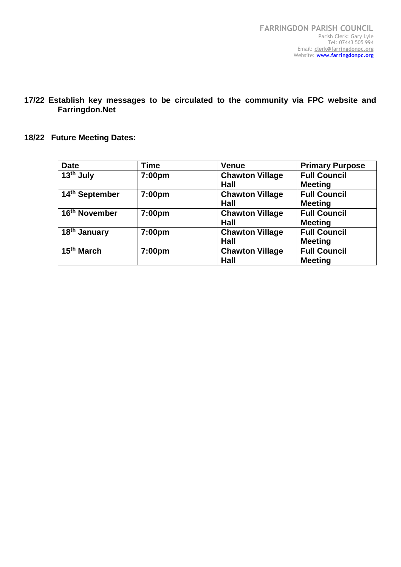**17/22 Establish key messages to be circulated to the community via FPC website and Farringdon.Net**

# **18/22 Future Meeting Dates:**

| <b>Date</b>               | Time   | <b>Venue</b>           | <b>Primary Purpose</b> |
|---------------------------|--------|------------------------|------------------------|
| $13th$ July               | 7:00pm | <b>Chawton Village</b> | <b>Full Council</b>    |
|                           |        | Hall                   | <b>Meeting</b>         |
| 14th September            | 7:00pm | <b>Chawton Village</b> | <b>Full Council</b>    |
|                           |        | Hall                   | <b>Meeting</b>         |
| 16 <sup>th</sup> November | 7:00pm | <b>Chawton Village</b> | <b>Full Council</b>    |
|                           |        | Hall                   | <b>Meeting</b>         |
| 18 <sup>th</sup> January  | 7:00pm | <b>Chawton Village</b> | <b>Full Council</b>    |
|                           |        | Hall                   | <b>Meeting</b>         |
| 15 <sup>th</sup> March    | 7:00pm | <b>Chawton Village</b> | <b>Full Council</b>    |
|                           |        | Hall                   | <b>Meeting</b>         |